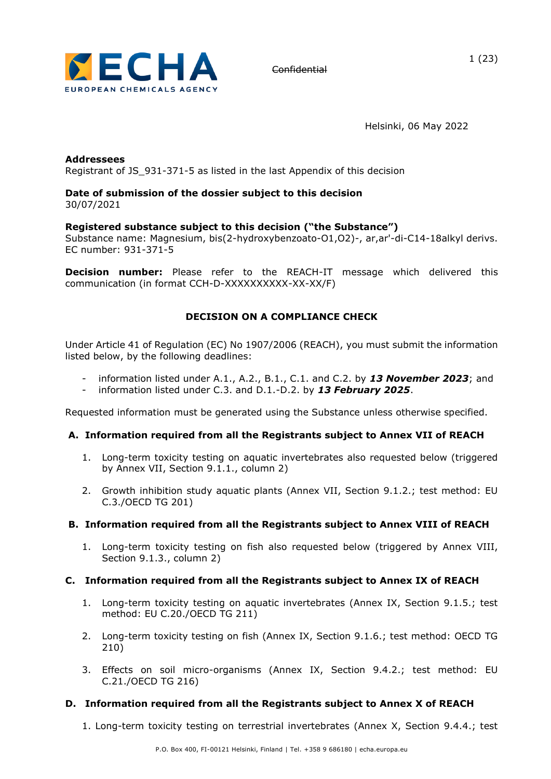

Helsinki, 06 May 2022

#### **Addressees** Registrant of JS\_931-371-5 as listed in the last Appendix of this decision

#### **Date of submission of the dossier subject to this decision**  30/07/2021

### **Registered substance subject to this decision ("the Substance")**

Substance name: Magnesium, bis(2-hydroxybenzoato-O1,O2)-, ar,ar'-di-C14-18alkyl derivs. EC number: 931-371-5

**Decision number:** Please refer to the REACH-IT message which delivered this communication (in format CCH-D-XXXXXXXXXX-XX-XX/F)

## **DECISION ON A COMPLIANCE CHECK**

Under Article 41 of Regulation (EC) No 1907/2006 (REACH), you must submit the information listed below, by the following deadlines:

- information listed under A.1., A.2., B.1., C.1. and C.2. by 13 November 2023; and
- information listed under C.3. and D.1.-D.2. by *13 February 2025*.

Requested information must be generated using the Substance unless otherwise specified.

#### **A. Information required from all the Registrants subject to Annex VII of REACH**

- 1. Long-term toxicity testing on aquatic invertebrates also requested below (triggered by Annex VII, Section 9.1.1., column 2)
- 2. Growth inhibition study aquatic plants (Annex VII, Section 9.1.2.; test method: EU C.3./OECD TG 201)

#### **B. Information required from all the Registrants subject to Annex VIII of REACH**

1. Long-term toxicity testing on fish also requested below (triggered by Annex VIII, Section 9.1.3., column 2)

#### **C. Information required from all the Registrants subject to Annex IX of REACH**

- 1. Long-term toxicity testing on aquatic invertebrates (Annex IX, Section 9.1.5.; test method: EU C.20./OECD TG 211)
- 2. Long-term toxicity testing on fish (Annex IX, Section 9.1.6.; test method: OECD TG 210)
- 3. Effects on soil micro-organisms (Annex IX, Section 9.4.2.; test method: EU C.21./OECD TG 216)

#### **D. Information required from all the Registrants subject to Annex X of REACH**

1. Long-term toxicity testing on terrestrial invertebrates (Annex X, Section 9.4.4.; test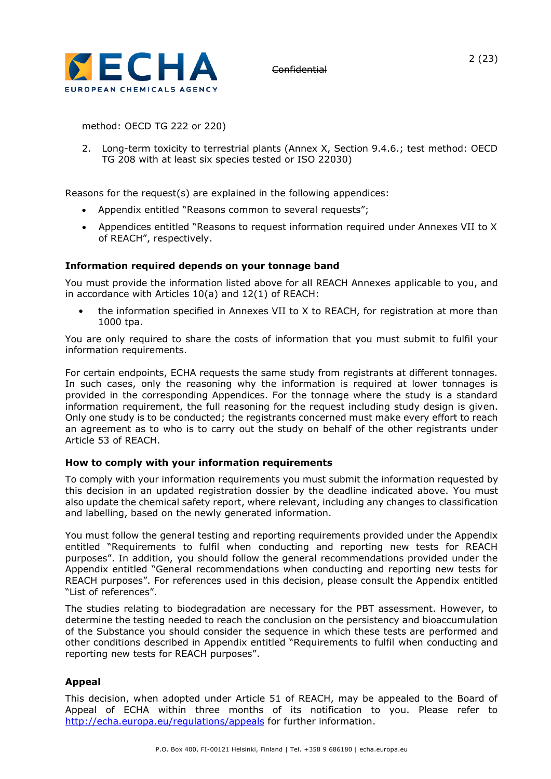

2 (23)

method: OECD TG 222 or 220)

2. Long-term toxicity to terrestrial plants (Annex X, Section 9.4.6.; test method: OECD TG 208 with at least six species tested or ISO 22030)

Reasons for the request(s) are explained in the following appendices:

- Appendix entitled "Reasons common to several requests";
- Appendices entitled "Reasons to request information required under Annexes VII to X of REACH", respectively.

#### **Information required depends on your tonnage band**

You must provide the information listed above for all REACH Annexes applicable to you, and in accordance with Articles 10(a) and 12(1) of REACH:

• the information specified in Annexes VII to X to REACH, for registration at more than 1000 tpa.

You are only required to share the costs of information that you must submit to fulfil your information requirements.

For certain endpoints, ECHA requests the same study from registrants at different tonnages. In such cases, only the reasoning why the information is required at lower tonnages is provided in the corresponding Appendices. For the tonnage where the study is a standard information requirement, the full reasoning for the request including study design is given. Only one study is to be conducted; the registrants concerned must make every effort to reach an agreement as to who is to carry out the study on behalf of the other registrants under Article 53 of REACH.

#### **How to comply with your information requirements**

To comply with your information requirements you must submit the information requested by this decision in an updated registration dossier by the deadline indicated above. You must also update the chemical safety report, where relevant, including any changes to classification and labelling, based on the newly generated information.

You must follow the general testing and reporting requirements provided under the Appendix entitled "Requirements to fulfil when conducting and reporting new tests for REACH purposes". In addition, you should follow the general recommendations provided under the Appendix entitled "General recommendations when conducting and reporting new tests for REACH purposes". For references used in this decision, please consult the Appendix entitled "List of references".

The studies relating to biodegradation are necessary for the PBT assessment. However, to determine the testing needed to reach the conclusion on the persistency and bioaccumulation of the Substance you should consider the sequence in which these tests are performed and other conditions described in Appendix entitled "Requirements to fulfil when conducting and reporting new tests for REACH purposes".

#### **Appeal**

This decision, when adopted under Article 51 of REACH, may be appealed to the Board of Appeal of ECHA within three months of its notification to you. Please refer to <http://echa.europa.eu/regulations/appeals> for further information.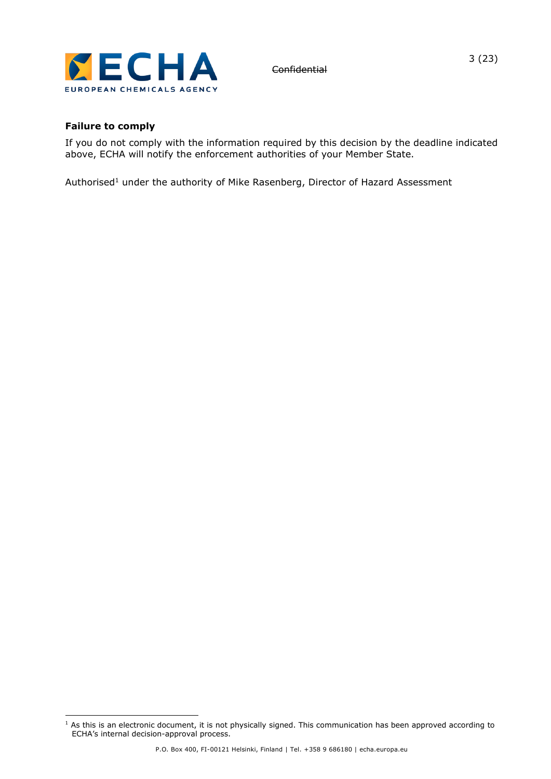

**Failure to comply**

**Confidential** 

If you do not comply with the information required by this decision by the deadline indicated above, ECHA will notify the enforcement authorities of your Member State.

Authorised<sup>1</sup> under the authority of Mike Rasenberg, Director of Hazard Assessment

 $1$  As this is an electronic document, it is not physically signed. This communication has been approved according to ECHA's internal decision-approval process.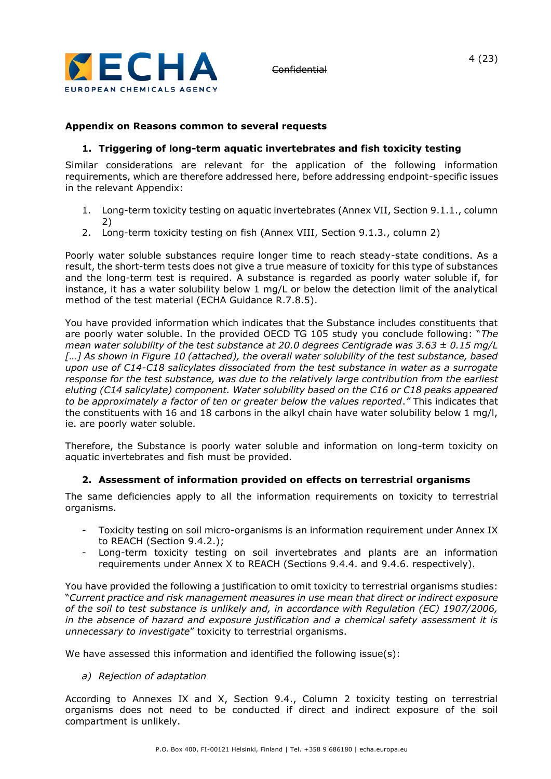

#### **Appendix on Reasons common to several requests**

#### **1. Triggering of long-term aquatic invertebrates and fish toxicity testing**

Similar considerations are relevant for the application of the following information requirements, which are therefore addressed here, before addressing endpoint-specific issues in the relevant Appendix:

- 1. Long-term toxicity testing on aquatic invertebrates (Annex VII, Section 9.1.1., column 2)
- 2. Long-term toxicity testing on fish (Annex VIII, Section 9.1.3., column 2)

Poorly water soluble substances require longer time to reach steady-state conditions. As a result, the short-term tests does not give a true measure of toxicity for this type of substances and the long-term test is required. A substance is regarded as poorly water soluble if, for instance, it has a water solubility below 1 mg/L or below the detection limit of the analytical method of the test material (ECHA Guidance R.7.8.5).

You have provided information which indicates that the Substance includes constituents that are poorly water soluble. In the provided OECD TG 105 study you conclude following: "*The mean water solubility of the test substance at 20.0 degrees Centigrade was 3.63 ± 0.15 mg/L […] As shown in Figure 10 (attached), the overall water solubility of the test substance, based upon use of C14-C18 salicylates dissociated from the test substance in water as a surrogate response for the test substance, was due to the relatively large contribution from the earliest eluting (C14 salicylate) component. Water solubility based on the C16 or C18 peaks appeared to be approximately a factor of ten or greater below the values reported*.*"* This indicates that the constituents with 16 and 18 carbons in the alkyl chain have water solubility below 1 mg/l, ie. are poorly water soluble.

Therefore, the Substance is poorly water soluble and information on long-term toxicity on aquatic invertebrates and fish must be provided.

#### **2. Assessment of information provided on effects on terrestrial organisms**

The same deficiencies apply to all the information requirements on toxicity to terrestrial organisms.

- Toxicity testing on soil micro-organisms is an information requirement under Annex IX to REACH (Section 9.4.2.);
- Long-term toxicity testing on soil invertebrates and plants are an information requirements under Annex X to REACH (Sections 9.4.4. and 9.4.6. respectively).

You have provided the following a justification to omit toxicity to terrestrial organisms studies: "*Current practice and risk management measures in use mean that direct or indirect exposure of the soil to test substance is unlikely and, in accordance with Regulation (EC) 1907/2006, in the absence of hazard and exposure justification and a chemical safety assessment it is unnecessary to investigate*" toxicity to terrestrial organisms.

We have assessed this information and identified the following issue(s):

#### *a) Rejection of adaptation*

According to Annexes IX and X, Section 9.4., Column 2 toxicity testing on terrestrial organisms does not need to be conducted if direct and indirect exposure of the soil compartment is unlikely.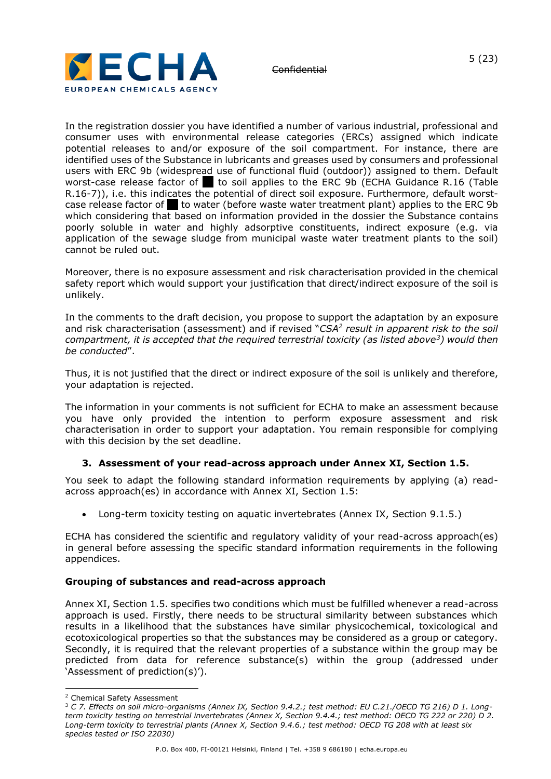

In the registration dossier you have identified a number of various industrial, professional and consumer uses with environmental release categories (ERCs) assigned which indicate potential releases to and/or exposure of the soil compartment. For instance, there are identified uses of the Substance in lubricants and greases used by consumers and professional users with ERC 9b (widespread use of functional fluid (outdoor)) assigned to them. Default worst-case release factor of  $\blacksquare$  to soil applies to the ERC 9b (ECHA Guidance R.16 (Table R.16-7)), i.e. this indicates the potential of direct soil exposure. Furthermore, default worstcase release factor of to water (before waste water treatment plant) applies to the ERC 9b which considering that based on information provided in the dossier the Substance contains poorly soluble in water and highly adsorptive constituents, indirect exposure (e.g. via application of the sewage sludge from municipal waste water treatment plants to the soil) cannot be ruled out.

Moreover, there is no exposure assessment and risk characterisation provided in the chemical safety report which would support your justification that direct/indirect exposure of the soil is unlikely.

In the comments to the draft decision, you propose to support the adaptation by an exposure and risk characterisation (assessment) and if revised "*CSA<sup>2</sup> result in apparent risk to the soil compartment, it is accepted that the required terrestrial toxicity (as listed above<sup>3</sup> ) would then be conducted*".

Thus, it is not justified that the direct or indirect exposure of the soil is unlikely and therefore, your adaptation is rejected.

The information in your comments is not sufficient for ECHA to make an assessment because you have only provided the intention to perform exposure assessment and risk characterisation in order to support your adaptation. You remain responsible for complying with this decision by the set deadline.

#### **3. Assessment of your read-across approach under Annex XI, Section 1.5.**

You seek to adapt the following standard information requirements by applying (a) readacross approach(es) in accordance with Annex XI, Section 1.5:

• Long-term toxicity testing on aquatic invertebrates (Annex IX, Section 9.1.5.)

ECHA has considered the scientific and regulatory validity of your read-across approach(es) in general before assessing the specific standard information requirements in the following appendices.

#### **Grouping of substances and read-across approach**

Annex XI, Section 1.5. specifies two conditions which must be fulfilled whenever a read-across approach is used. Firstly, there needs to be structural similarity between substances which results in a likelihood that the substances have similar physicochemical, toxicological and ecotoxicological properties so that the substances may be considered as a group or category. Secondly, it is required that the relevant properties of a substance within the group may be predicted from data for reference substance(s) within the group (addressed under 'Assessment of prediction(s)').

<sup>2</sup> Chemical Safety Assessment

<sup>3</sup> *C 7. Effects on soil micro-organisms (Annex IX, Section 9.4.2.; test method: EU C.21./OECD TG 216) D 1. Longterm toxicity testing on terrestrial invertebrates (Annex X, Section 9.4.4.; test method: OECD TG 222 or 220) D 2. Long-term toxicity to terrestrial plants (Annex X, Section 9.4.6.; test method: OECD TG 208 with at least six species tested or ISO 22030)*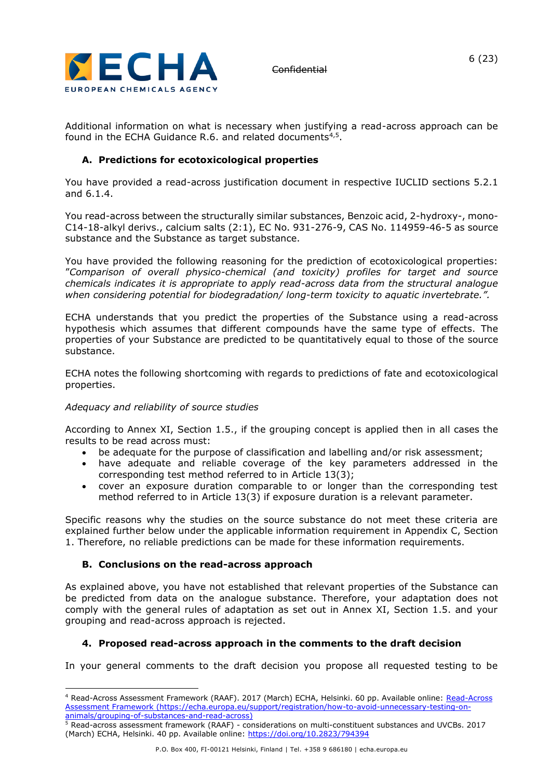

Additional information on what is necessary when justifying a read-across approach can be found in the ECHA Guidance R.6. and related documents<sup>4,5</sup>.

### **A. Predictions for ecotoxicological properties**

You have provided a read-across justification document in respective IUCLID sections 5.2.1 and 6.1.4.

You read-across between the structurally similar substances, Benzoic acid, 2-hydroxy-, mono-C14-18-alkyl derivs., calcium salts (2:1), EC No. 931-276-9, CAS No. 114959-46-5 as source substance and the Substance as target substance.

You have provided the following reasoning for the prediction of ecotoxicological properties: "*Comparison of overall physico-chemical (and toxicity) profiles for target and source chemicals indicates it is appropriate to apply read-across data from the structural analogue when considering potential for biodegradation/ long-term toxicity to aquatic invertebrate.".*

ECHA understands that you predict the properties of the Substance using a read-across hypothesis which assumes that different compounds have the same type of effects. The properties of your Substance are predicted to be quantitatively equal to those of the source substance.

ECHA notes the following shortcoming with regards to predictions of fate and ecotoxicological properties.

#### *Adequacy and reliability of source studies*

According to Annex XI, Section 1.5., if the grouping concept is applied then in all cases the results to be read across must:

- be adequate for the purpose of classification and labelling and/or risk assessment;
- have adequate and reliable coverage of the key parameters addressed in the corresponding test method referred to in Article 13(3);
- cover an exposure duration comparable to or longer than the corresponding test method referred to in Article 13(3) if exposure duration is a relevant parameter.

Specific reasons why the studies on the source substance do not meet these criteria are explained further below under the applicable information requirement in Appendix C, Section 1. Therefore, no reliable predictions can be made for these information requirements.

#### **B. Conclusions on the read-across approach**

As explained above, you have not established that relevant properties of the Substance can be predicted from data on the analogue substance. Therefore, your adaptation does not comply with the general rules of adaptation as set out in Annex XI, Section 1.5. and your grouping and read-across approach is rejected.

#### **4. Proposed read-across approach in the comments to the draft decision**

In your general comments to the draft decision you propose all requested testing to be

<sup>&</sup>lt;sup>4</sup> [Read-Across](https://echa.europa.eu/support/registration/how-to-avoid-unnecessary-testing-on-animals/grouping-of-substances-and-read-across) Assessment Framework (RAAF). 2017 (March) ECHA, Helsinki. 60 pp. Available online: Read-Across [Assessment Framework](https://echa.europa.eu/support/registration/how-to-avoid-unnecessary-testing-on-animals/grouping-of-substances-and-read-across) [\(https://echa.europa.eu/support/registration/how-to-avoid-unnecessary-testing-on](https://echa.europa.eu/support/registration/how-to-avoid-unnecessary-testing-on-animals/grouping-of-substances-and-read-across)[animals/grouping-of-substances-and-read-across\)](https://echa.europa.eu/support/registration/how-to-avoid-unnecessary-testing-on-animals/grouping-of-substances-and-read-across)

<sup>5</sup> Read-across assessment framework (RAAF) - considerations on multi-constituent substances and UVCBs. 2017 (March) ECHA, Helsinki. 40 pp. Available online:<https://doi.org/10.2823/794394>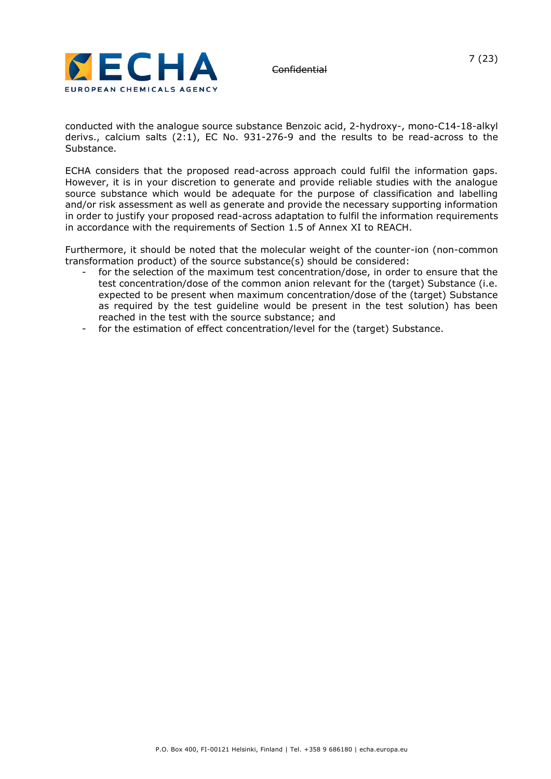

conducted with the analogue source substance Benzoic acid, 2-hydroxy-, mono-C14-18-alkyl derivs., calcium salts (2:1), EC No. 931-276-9 and the results to be read-across to the Substance.

ECHA considers that the proposed read-across approach could fulfil the information gaps. However, it is in your discretion to generate and provide reliable studies with the analogue source substance which would be adequate for the purpose of classification and labelling and/or risk assessment as well as generate and provide the necessary supporting information in order to justify your proposed read-across adaptation to fulfil the information requirements in accordance with the requirements of Section 1.5 of Annex XI to REACH.

Furthermore, it should be noted that the molecular weight of the counter-ion (non-common transformation product) of the source substance(s) should be considered:

- for the selection of the maximum test concentration/dose, in order to ensure that the test concentration/dose of the common anion relevant for the (target) Substance (i.e. expected to be present when maximum concentration/dose of the (target) Substance as required by the test guideline would be present in the test solution) has been reached in the test with the source substance; and
- for the estimation of effect concentration/level for the (target) Substance.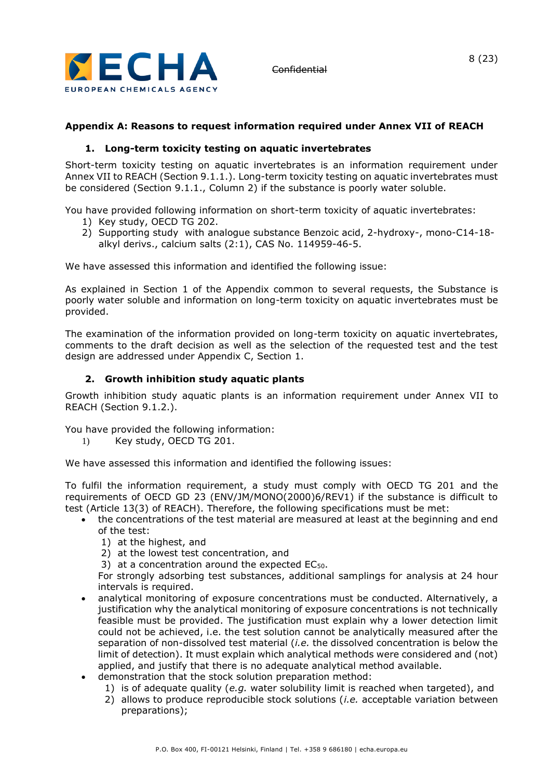

### **Appendix A: Reasons to request information required under Annex VII of REACH**

#### **1. Long-term toxicity testing on aquatic invertebrates**

Short-term toxicity testing on aquatic invertebrates is an information requirement under Annex VII to REACH (Section 9.1.1.). Long-term toxicity testing on aquatic invertebrates must be considered (Section 9.1.1., Column 2) if the substance is poorly water soluble.

You have provided following information on short-term toxicity of aquatic invertebrates:

- 1) Key study, OECD TG 202.
- 2) Supporting study with analogue substance Benzoic acid, 2-hydroxy-, mono-C14-18 alkyl derivs., calcium salts (2:1), CAS No. 114959-46-5.

We have assessed this information and identified the following issue:

As explained in Section 1 of the Appendix common to several requests, the Substance is poorly water soluble and information on long-term toxicity on aquatic invertebrates must be provided.

The examination of the information provided on long-term toxicity on aquatic invertebrates, comments to the draft decision as well as the selection of the requested test and the test design are addressed under Appendix C, Section 1.

#### **2. Growth inhibition study aquatic plants**

Growth inhibition study aquatic plants is an information requirement under Annex VII to REACH (Section 9.1.2.).

You have provided the following information:

1) Key study, OECD TG 201.

We have assessed this information and identified the following issues:

To fulfil the information requirement, a study must comply with OECD TG 201 and the requirements of OECD GD 23 (ENV/JM/MONO(2000)6/REV1) if the substance is difficult to test (Article 13(3) of REACH). Therefore, the following specifications must be met:

- the concentrations of the test material are measured at least at the beginning and end of the test:
	- 1) at the highest, and
	- 2) at the lowest test concentration, and
	- 3) at a concentration around the expected EC<sub>50</sub>.

For strongly adsorbing test substances, additional samplings for analysis at 24 hour intervals is required.

- analytical monitoring of exposure concentrations must be conducted. Alternatively, a justification why the analytical monitoring of exposure concentrations is not technically feasible must be provided. The justification must explain why a lower detection limit could not be achieved, i.e. the test solution cannot be analytically measured after the separation of non-dissolved test material (*i.e.* the dissolved concentration is below the limit of detection). It must explain which analytical methods were considered and (not) applied, and justify that there is no adequate analytical method available.
- demonstration that the stock solution preparation method:
	- 1) is of adequate quality (*e.g.* water solubility limit is reached when targeted), and
	- 2) allows to produce reproducible stock solutions (*i.e.* acceptable variation between preparations);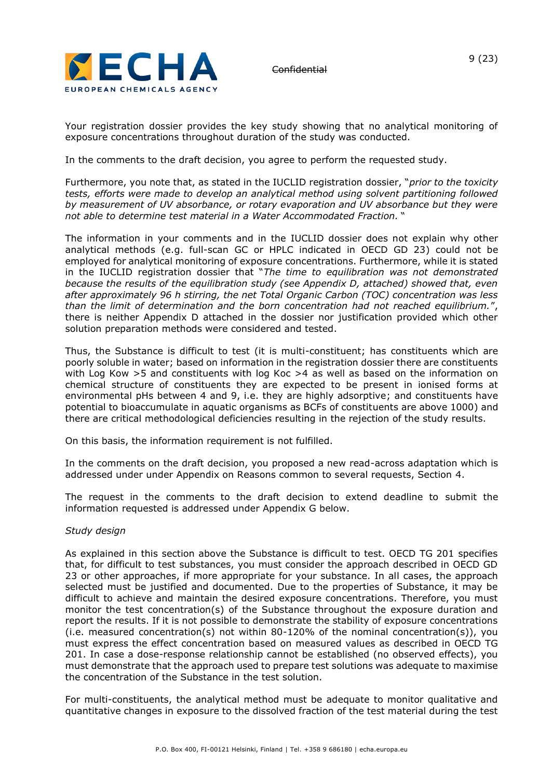

Your registration dossier provides the key study showing that no analytical monitoring of exposure concentrations throughout duration of the study was conducted.

In the comments to the draft decision, you agree to perform the requested study.

Furthermore, you note that, as stated in the IUCLID registration dossier, "*prior to the toxicity tests, efforts were made to develop an analytical method using solvent partitioning followed by measurement of UV absorbance, or rotary evaporation and UV absorbance but they were not able to determine test material in a Water Accommodated Fraction.* "

The information in your comments and in the IUCLID dossier does not explain why other analytical methods (e.g. full-scan GC or HPLC indicated in OECD GD 23) could not be employed for analytical monitoring of exposure concentrations. Furthermore, while it is stated in the IUCLID registration dossier that "*The time to equilibration was not demonstrated because the results of the equilibration study (see Appendix D, attached) showed that, even after approximately 96 h stirring, the net Total Organic Carbon (TOC) concentration was less than the limit of determination and the born concentration had not reached equilibrium.*", there is neither Appendix D attached in the dossier nor justification provided which other solution preparation methods were considered and tested.

Thus, the Substance is difficult to test (it is multi-constituent; has constituents which are poorly soluble in water; based on information in the registration dossier there are constituents with Log Kow >5 and constituents with log Koc >4 as well as based on the information on chemical structure of constituents they are expected to be present in ionised forms at environmental pHs between 4 and 9, i.e. they are highly adsorptive; and constituents have potential to bioaccumulate in aquatic organisms as BCFs of constituents are above 1000) and there are critical methodological deficiencies resulting in the rejection of the study results.

On this basis, the information requirement is not fulfilled.

In the comments on the draft decision, you proposed a new read-across adaptation which is addressed under under Appendix on Reasons common to several requests, Section 4.

The request in the comments to the draft decision to extend deadline to submit the information requested is addressed under Appendix G below.

#### *Study design*

As explained in this section above the Substance is difficult to test. OECD TG 201 specifies that, for difficult to test substances, you must consider the approach described in OECD GD 23 or other approaches, if more appropriate for your substance. In all cases, the approach selected must be justified and documented. Due to the properties of Substance, it may be difficult to achieve and maintain the desired exposure concentrations. Therefore, you must monitor the test concentration(s) of the Substance throughout the exposure duration and report the results. If it is not possible to demonstrate the stability of exposure concentrations (i.e. measured concentration(s) not within 80-120% of the nominal concentration(s)), you must express the effect concentration based on measured values as described in OECD TG 201. In case a dose-response relationship cannot be established (no observed effects), you must demonstrate that the approach used to prepare test solutions was adequate to maximise the concentration of the Substance in the test solution.

For multi-constituents, the analytical method must be adequate to monitor qualitative and quantitative changes in exposure to the dissolved fraction of the test material during the test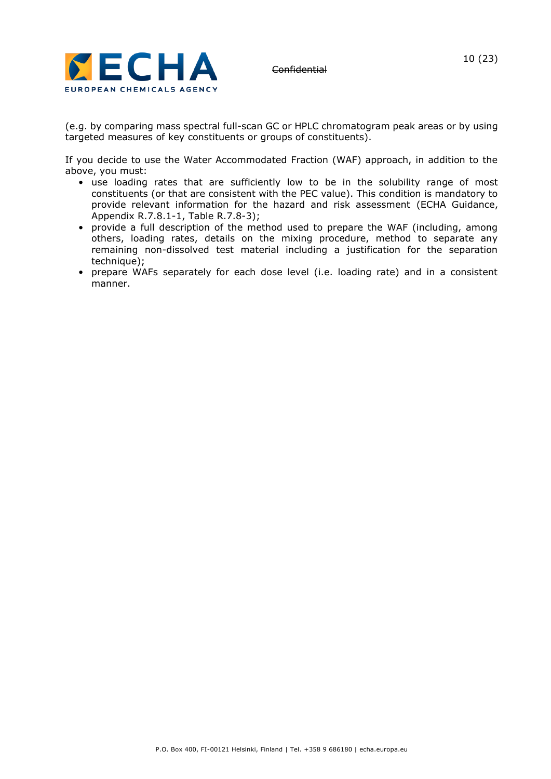

(e.g. by comparing mass spectral full-scan GC or HPLC chromatogram peak areas or by using targeted measures of key constituents or groups of constituents).

If you decide to use the Water Accommodated Fraction (WAF) approach, in addition to the above, you must:

- use loading rates that are sufficiently low to be in the solubility range of most constituents (or that are consistent with the PEC value). This condition is mandatory to provide relevant information for the hazard and risk assessment (ECHA Guidance, Appendix R.7.8.1-1, Table R.7.8-3);
- provide a full description of the method used to prepare the WAF (including, among others, loading rates, details on the mixing procedure, method to separate any remaining non-dissolved test material including a justification for the separation technique);
- prepare WAFs separately for each dose level (i.e. loading rate) and in a consistent manner.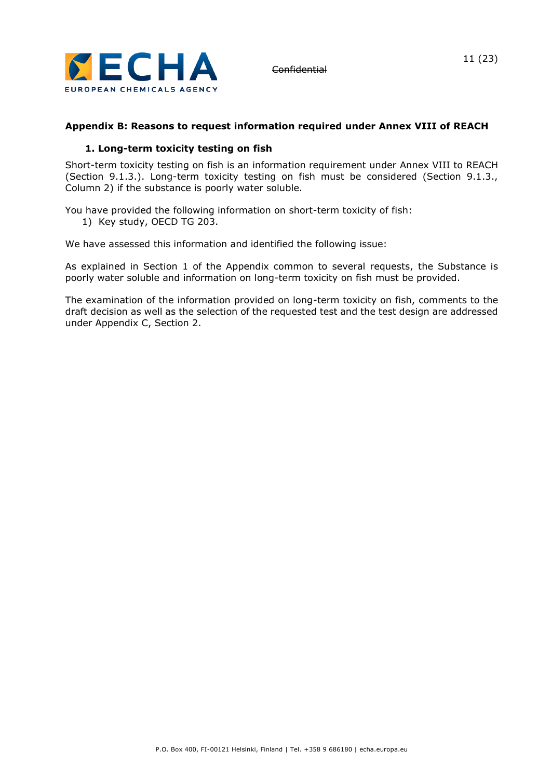

# 11 (23)

### **Appendix B: Reasons to request information required under Annex VIII of REACH**

#### **1. Long-term toxicity testing on fish**

Short-term toxicity testing on fish is an information requirement under Annex VIII to REACH (Section 9.1.3.). Long-term toxicity testing on fish must be considered (Section 9.1.3., Column 2) if the substance is poorly water soluble.

You have provided the following information on short-term toxicity of fish: 1) Key study, OECD TG 203.

We have assessed this information and identified the following issue:

As explained in Section 1 of the Appendix common to several requests, the Substance is poorly water soluble and information on long-term toxicity on fish must be provided.

The examination of the information provided on long-term toxicity on fish, comments to the draft decision as well as the selection of the requested test and the test design are addressed under Appendix C, Section 2.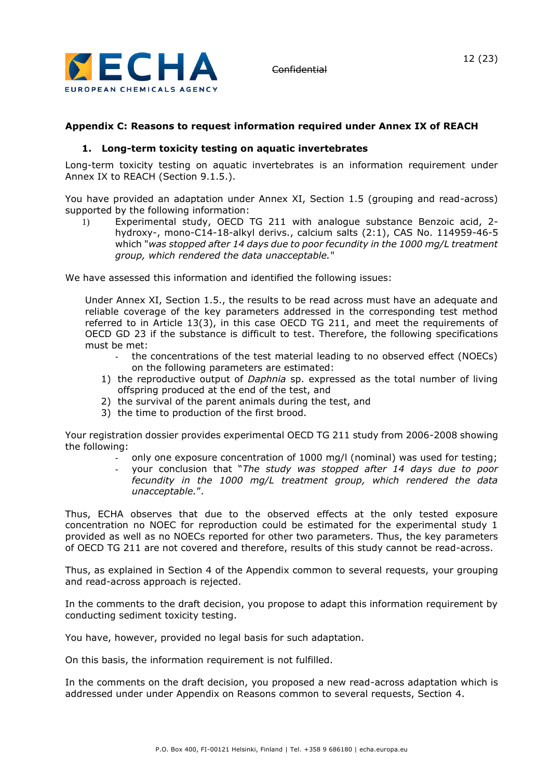

#### **Appendix C: Reasons to request information required under Annex IX of REACH**

#### **1. Long-term toxicity testing on aquatic invertebrates**

Long-term toxicity testing on aquatic invertebrates is an information requirement under Annex IX to REACH (Section 9.1.5.).

You have provided an adaptation under Annex XI, Section 1.5 (grouping and read-across) supported by the following information:

1) Experimental study, OECD TG 211 with analogue substance Benzoic acid, 2 hydroxy-, mono-C14-18-alkyl derivs., calcium salts (2:1), CAS No. 114959-46-5 which "*was stopped after 14 days due to poor fecundity in the 1000 mg/L treatment group, which rendered the data unacceptable.*"

We have assessed this information and identified the following issues:

Under Annex XI, Section 1.5., the results to be read across must have an adequate and reliable coverage of the key parameters addressed in the corresponding test method referred to in Article 13(3), in this case OECD TG 211, and meet the requirements of OECD GD 23 if the substance is difficult to test. Therefore, the following specifications must be met:

- the concentrations of the test material leading to no observed effect (NOECs) on the following parameters are estimated:
- 1) the reproductive output of *Daphnia* sp. expressed as the total number of living offspring produced at the end of the test, and
- 2) the survival of the parent animals during the test, and
- 3) the time to production of the first brood.

Your registration dossier provides experimental OECD TG 211 study from 2006-2008 showing the following:

- only one exposure concentration of 1000 mg/l (nominal) was used for testing;
- your conclusion that "*The study was stopped after 14 days due to poor fecundity in the 1000 mg/L treatment group, which rendered the data unacceptable.*".

Thus, ECHA observes that due to the observed effects at the only tested exposure concentration no NOEC for reproduction could be estimated for the experimental study 1 provided as well as no NOECs reported for other two parameters. Thus, the key parameters of OECD TG 211 are not covered and therefore, results of this study cannot be read-across.

Thus, as explained in Section 4 of the Appendix common to several requests, your grouping and read-across approach is rejected.

In the comments to the draft decision, you propose to adapt this information requirement by conducting sediment toxicity testing.

You have, however, provided no legal basis for such adaptation.

On this basis, the information requirement is not fulfilled.

In the comments on the draft decision, you proposed a new read-across adaptation which is addressed under under Appendix on Reasons common to several requests, Section 4.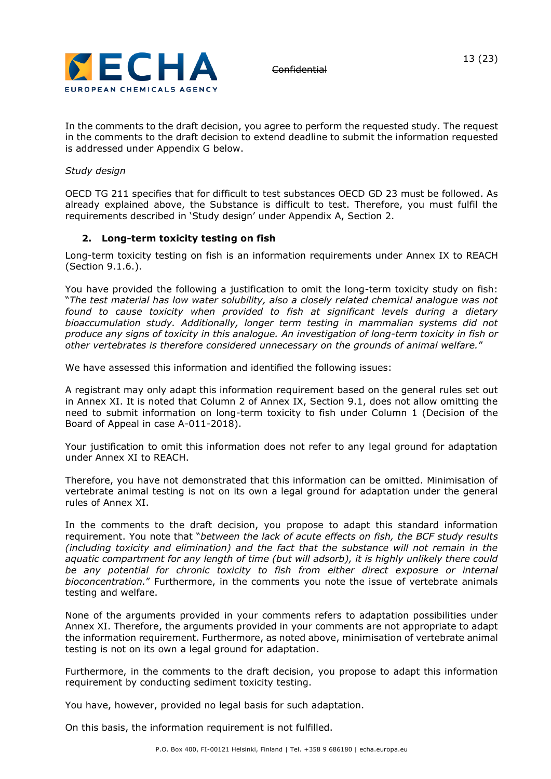

In the comments to the draft decision, you agree to perform the requested study. The request in the comments to the draft decision to extend deadline to submit the information requested is addressed under Appendix G below.

#### *Study design*

OECD TG 211 specifies that for difficult to test substances OECD GD 23 must be followed. As already explained above, the Substance is difficult to test. Therefore, you must fulfil the requirements described in 'Study design' under Appendix A, Section 2.

#### **2. Long-term toxicity testing on fish**

Long-term toxicity testing on fish is an information requirements under Annex IX to REACH (Section 9.1.6.).

You have provided the following a justification to omit the long-term toxicity study on fish: "*The test material has low water solubility, also a closely related chemical analogue was not found to cause toxicity when provided to fish at significant levels during a dietary bioaccumulation study. Additionally, longer term testing in mammalian systems did not produce any signs of toxicity in this analogue. An investigation of long-term toxicity in fish or other vertebrates is therefore considered unnecessary on the grounds of animal welfare.*"

We have assessed this information and identified the following issues:

A registrant may only adapt this information requirement based on the general rules set out in Annex XI. It is noted that Column 2 of Annex IX, Section 9.1, does not allow omitting the need to submit information on long-term toxicity to fish under Column 1 (Decision of the Board of Appeal in case A-011-2018).

Your justification to omit this information does not refer to any legal ground for adaptation under Annex XI to REACH.

Therefore, you have not demonstrated that this information can be omitted. Minimisation of vertebrate animal testing is not on its own a legal ground for adaptation under the general rules of Annex XI.

In the comments to the draft decision, you propose to adapt this standard information requirement. You note that "*between the lack of acute effects on fish, the BCF study results (including toxicity and elimination) and the fact that the substance will not remain in the aquatic compartment for any length of time (but will adsorb), it is highly unlikely there could be any potential for chronic toxicity to fish from either direct exposure or internal bioconcentration.*" Furthermore, in the comments you note the issue of vertebrate animals testing and welfare.

None of the arguments provided in your comments refers to adaptation possibilities under Annex XI. Therefore, the arguments provided in your comments are not appropriate to adapt the information requirement. Furthermore, as noted above, minimisation of vertebrate animal testing is not on its own a legal ground for adaptation.

Furthermore, in the comments to the draft decision, you propose to adapt this information requirement by conducting sediment toxicity testing.

You have, however, provided no legal basis for such adaptation.

On this basis, the information requirement is not fulfilled.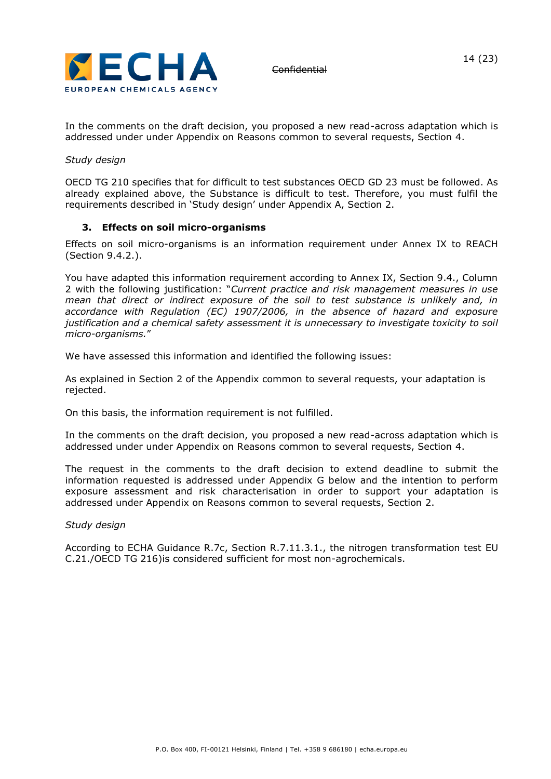

In the comments on the draft decision, you proposed a new read-across adaptation which is addressed under under Appendix on Reasons common to several requests, Section 4.

#### *Study design*

OECD TG 210 specifies that for difficult to test substances OECD GD 23 must be followed. As already explained above, the Substance is difficult to test. Therefore, you must fulfil the requirements described in 'Study design' under Appendix A, Section 2.

#### **3. Effects on soil micro-organisms**

Effects on soil micro-organisms is an information requirement under Annex IX to REACH (Section 9.4.2.).

You have adapted this information requirement according to Annex IX, Section 9.4., Column 2 with the following justification: "*Current practice and risk management measures in use mean that direct or indirect exposure of the soil to test substance is unlikely and, in accordance with Regulation (EC) 1907/2006, in the absence of hazard and exposure justification and a chemical safety assessment it is unnecessary to investigate toxicity to soil micro-organisms.*"

We have assessed this information and identified the following issues:

As explained in Section 2 of the Appendix common to several requests, your adaptation is rejected.

On this basis, the information requirement is not fulfilled.

In the comments on the draft decision, you proposed a new read-across adaptation which is addressed under under Appendix on Reasons common to several requests, Section 4.

The request in the comments to the draft decision to extend deadline to submit the information requested is addressed under Appendix G below and the intention to perform exposure assessment and risk characterisation in order to support your adaptation is addressed under Appendix on Reasons common to several requests, Section 2.

#### *Study design*

According to ECHA Guidance R.7c, Section R.7.11.3.1., the nitrogen transformation test EU C.21./OECD TG 216)is considered sufficient for most non-agrochemicals.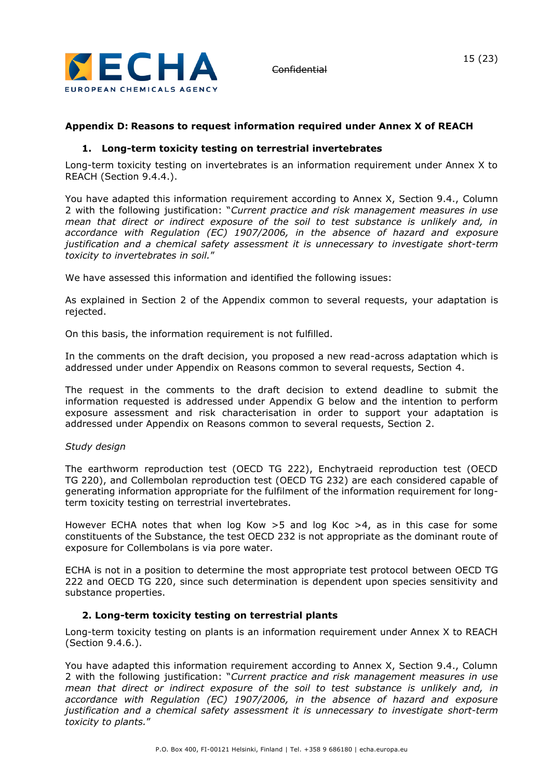

# **Appendix D: Reasons to request information required under Annex X of REACH**

#### **1. Long-term toxicity testing on terrestrial invertebrates**

Long-term toxicity testing on invertebrates is an information requirement under Annex X to REACH (Section 9.4.4.).

You have adapted this information requirement according to Annex X, Section 9.4., Column 2 with the following justification: "*Current practice and risk management measures in use mean that direct or indirect exposure of the soil to test substance is unlikely and, in accordance with Regulation (EC) 1907/2006, in the absence of hazard and exposure justification and a chemical safety assessment it is unnecessary to investigate short-term toxicity to invertebrates in soil.*"

We have assessed this information and identified the following issues:

As explained in Section 2 of the Appendix common to several requests, your adaptation is rejected.

On this basis, the information requirement is not fulfilled.

In the comments on the draft decision, you proposed a new read-across adaptation which is addressed under under Appendix on Reasons common to several requests, Section 4.

The request in the comments to the draft decision to extend deadline to submit the information requested is addressed under Appendix G below and the intention to perform exposure assessment and risk characterisation in order to support your adaptation is addressed under Appendix on Reasons common to several requests, Section 2.

#### *Study design*

The earthworm reproduction test (OECD TG 222), Enchytraeid reproduction test (OECD TG 220), and Collembolan reproduction test (OECD TG 232) are each considered capable of generating information appropriate for the fulfilment of the information requirement for longterm toxicity testing on terrestrial invertebrates.

However ECHA notes that when log Kow  $>5$  and log Koc  $>4$ , as in this case for some constituents of the Substance, the test OECD 232 is not appropriate as the dominant route of exposure for Collembolans is via pore water.

ECHA is not in a position to determine the most appropriate test protocol between OECD TG 222 and OECD TG 220, since such determination is dependent upon species sensitivity and substance properties.

#### **2. Long-term toxicity testing on terrestrial plants**

Long-term toxicity testing on plants is an information requirement under Annex X to REACH (Section 9.4.6.).

You have adapted this information requirement according to Annex X, Section 9.4., Column 2 with the following justification: "*Current practice and risk management measures in use mean that direct or indirect exposure of the soil to test substance is unlikely and, in accordance with Regulation (EC) 1907/2006, in the absence of hazard and exposure justification and a chemical safety assessment it is unnecessary to investigate short-term toxicity to plants.*"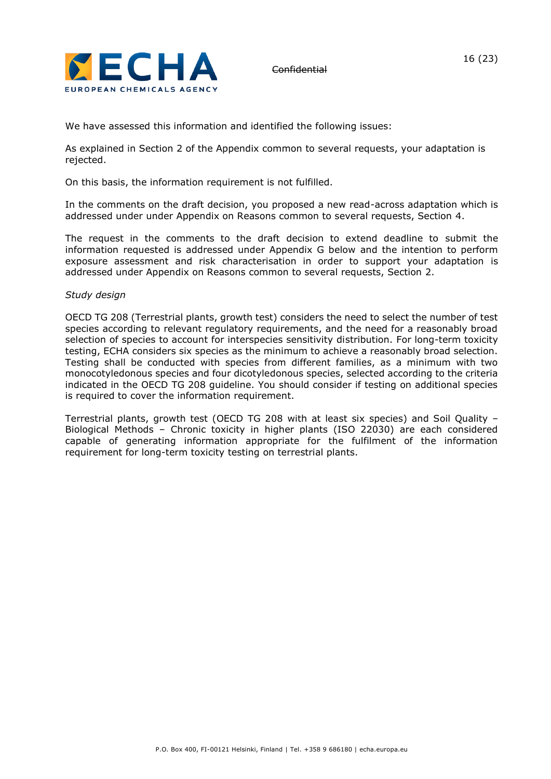

We have assessed this information and identified the following issues:

As explained in Section 2 of the Appendix common to several requests, your adaptation is rejected.

On this basis, the information requirement is not fulfilled.

In the comments on the draft decision, you proposed a new read-across adaptation which is addressed under under Appendix on Reasons common to several requests, Section 4.

The request in the comments to the draft decision to extend deadline to submit the information requested is addressed under Appendix G below and the intention to perform exposure assessment and risk characterisation in order to support your adaptation is addressed under Appendix on Reasons common to several requests, Section 2.

#### *Study design*

OECD TG 208 (Terrestrial plants, growth test) considers the need to select the number of test species according to relevant regulatory requirements, and the need for a reasonably broad selection of species to account for interspecies sensitivity distribution. For long-term toxicity testing, ECHA considers six species as the minimum to achieve a reasonably broad selection. Testing shall be conducted with species from different families, as a minimum with two monocotyledonous species and four dicotyledonous species, selected according to the criteria indicated in the OECD TG 208 guideline. You should consider if testing on additional species is required to cover the information requirement.

Terrestrial plants, growth test (OECD TG 208 with at least six species) and Soil Quality – Biological Methods – Chronic toxicity in higher plants (ISO 22030) are each considered capable of generating information appropriate for the fulfilment of the information requirement for long-term toxicity testing on terrestrial plants.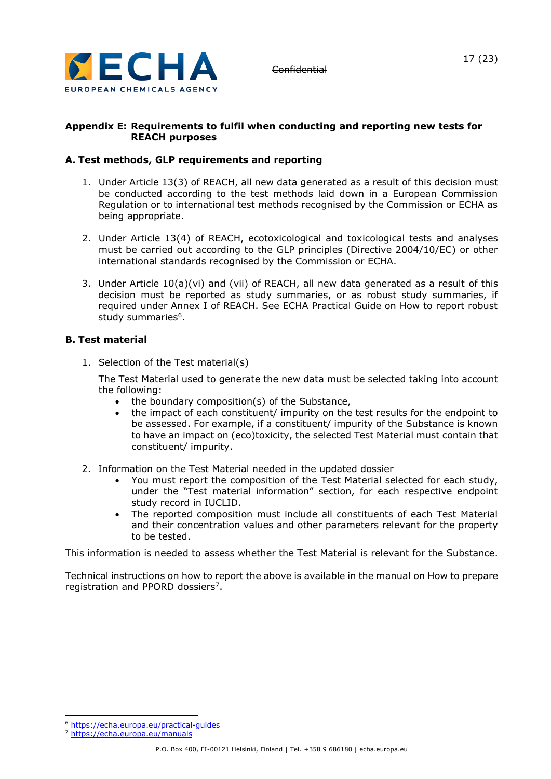

#### **Appendix E: Requirements to fulfil when conducting and reporting new tests for REACH purposes**

### **A. Test methods, GLP requirements and reporting**

- 1. Under Article 13(3) of REACH, all new data generated as a result of this decision must be conducted according to the test methods laid down in a European Commission Regulation or to international test methods recognised by the Commission or ECHA as being appropriate.
- 2. Under Article 13(4) of REACH, ecotoxicological and toxicological tests and analyses must be carried out according to the GLP principles (Directive 2004/10/EC) or other international standards recognised by the Commission or ECHA.
- 3. Under Article 10(a)(vi) and (vii) of REACH, all new data generated as a result of this decision must be reported as study summaries, or as robust study summaries, if required under Annex I of REACH. See ECHA Practical Guide on How to report robust study summaries<sup>6</sup>.

#### **B. Test material**

1. Selection of the Test material(s)

The Test Material used to generate the new data must be selected taking into account the following:

- the boundary composition(s) of the Substance,
- the impact of each constituent/ impurity on the test results for the endpoint to be assessed. For example, if a constituent/ impurity of the Substance is known to have an impact on (eco)toxicity, the selected Test Material must contain that constituent/ impurity.
- 2. Information on the Test Material needed in the updated dossier
	- You must report the composition of the Test Material selected for each study, under the "Test material information" section, for each respective endpoint study record in IUCLID.
	- The reported composition must include all constituents of each Test Material and their concentration values and other parameters relevant for the property to be tested.

This information is needed to assess whether the Test Material is relevant for the Substance.

Technical instructions on how to report the above is available in the manual on How to prepare registration and PPORD dossiers<sup>7</sup>.

<sup>6</sup> <https://echa.europa.eu/practical-guides>

<sup>7</sup> <https://echa.europa.eu/manuals>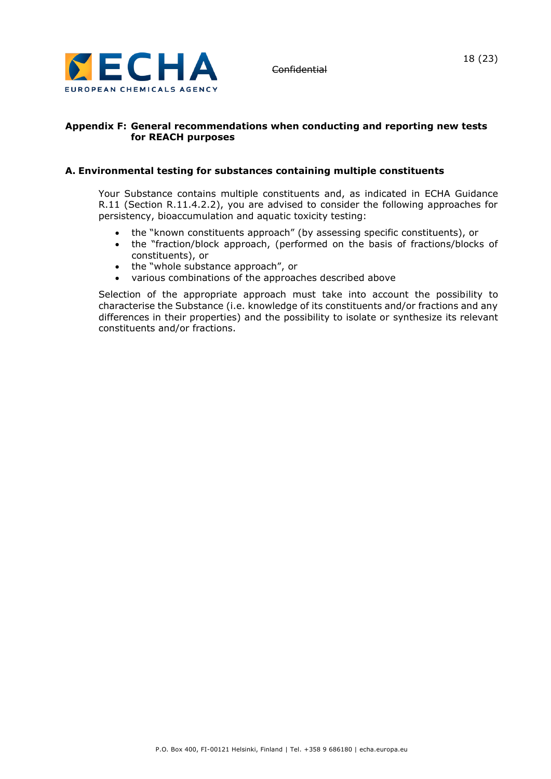

#### **Appendix F: General recommendations when conducting and reporting new tests for REACH purposes**

#### **A. Environmental testing for substances containing multiple constituents**

Your Substance contains multiple constituents and, as indicated in ECHA Guidance R.11 (Section R.11.4.2.2), you are advised to consider the following approaches for persistency, bioaccumulation and aquatic toxicity testing:

- the "known constituents approach" (by assessing specific constituents), or
- the "fraction/block approach, (performed on the basis of fractions/blocks of constituents), or
- the "whole substance approach", or
- various combinations of the approaches described above

Selection of the appropriate approach must take into account the possibility to characterise the Substance (i.e. knowledge of its constituents and/or fractions and any differences in their properties) and the possibility to isolate or synthesize its relevant constituents and/or fractions.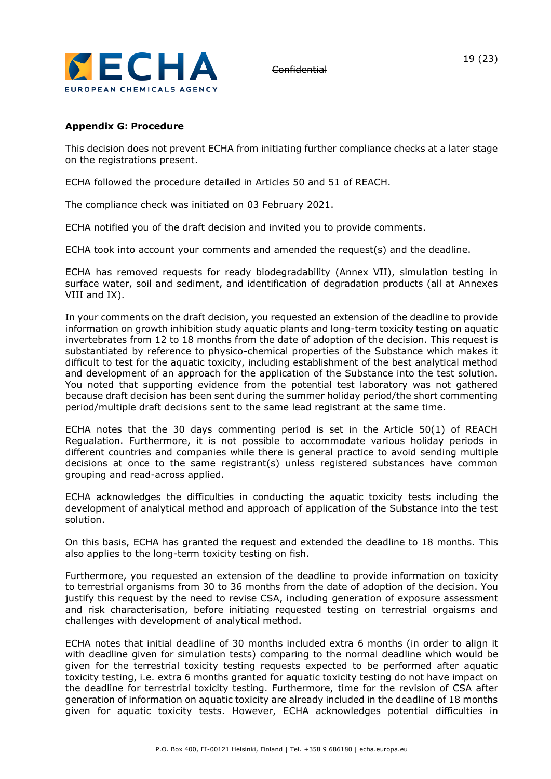

#### **Appendix G: Procedure**

This decision does not prevent ECHA from initiating further compliance checks at a later stage on the registrations present.

ECHA followed the procedure detailed in Articles 50 and 51 of REACH.

The compliance check was initiated on 03 February 2021.

ECHA notified you of the draft decision and invited you to provide comments.

ECHA took into account your comments and amended the request(s) and the deadline.

ECHA has removed requests for ready biodegradability (Annex VII), simulation testing in surface water, soil and sediment, and identification of degradation products (all at Annexes VIII and IX).

In your comments on the draft decision, you requested an extension of the deadline to provide information on growth inhibition study aquatic plants and long-term toxicity testing on aquatic invertebrates from 12 to 18 months from the date of adoption of the decision. This request is substantiated by reference to physico-chemical properties of the Substance which makes it difficult to test for the aquatic toxicity, including establishment of the best analytical method and development of an approach for the application of the Substance into the test solution. You noted that supporting evidence from the potential test laboratory was not gathered because draft decision has been sent during the summer holiday period/the short commenting period/multiple draft decisions sent to the same lead registrant at the same time.

ECHA notes that the 30 days commenting period is set in the Article 50(1) of REACH Regualation. Furthermore, it is not possible to accommodate various holiday periods in different countries and companies while there is general practice to avoid sending multiple decisions at once to the same registrant(s) unless registered substances have common grouping and read-across applied.

ECHA acknowledges the difficulties in conducting the aquatic toxicity tests including the development of analytical method and approach of application of the Substance into the test solution.

On this basis, ECHA has granted the request and extended the deadline to 18 months. This also applies to the long-term toxicity testing on fish.

Furthermore, you requested an extension of the deadline to provide information on toxicity to terrestrial organisms from 30 to 36 months from the date of adoption of the decision. You justify this request by the need to revise CSA, including generation of exposure assessment and risk characterisation, before initiating requested testing on terrestrial orgaisms and challenges with development of analytical method.

ECHA notes that initial deadline of 30 months included extra 6 months (in order to align it with deadline given for simulation tests) comparing to the normal deadline which would be given for the terrestrial toxicity testing requests expected to be performed after aquatic toxicity testing, i.e. extra 6 months granted for aquatic toxicity testing do not have impact on the deadline for terrestrial toxicity testing. Furthermore, time for the revision of CSA after generation of information on aquatic toxicity are already included in the deadline of 18 months given for aquatic toxicity tests. However, ECHA acknowledges potential difficulties in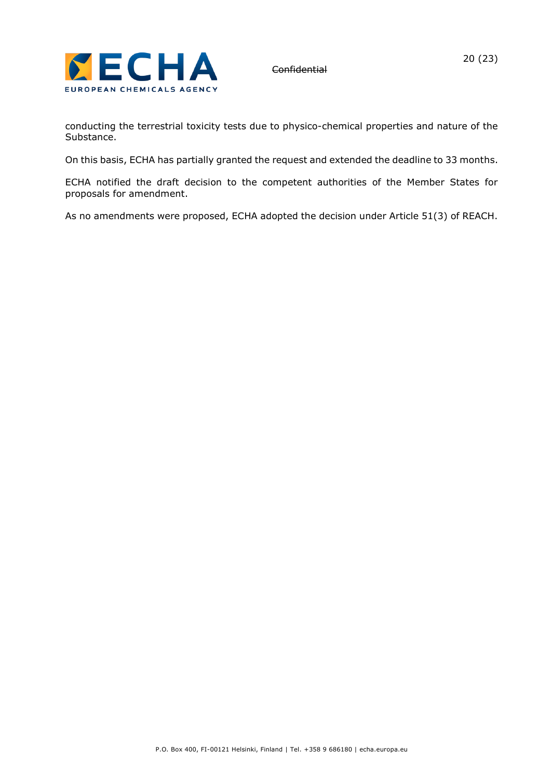

conducting the terrestrial toxicity tests due to physico-chemical properties and nature of the Substance.

On this basis, ECHA has partially granted the request and extended the deadline to 33 months.

ECHA notified the draft decision to the competent authorities of the Member States for proposals for amendment.

As no amendments were proposed, ECHA adopted the decision under Article 51(3) of REACH.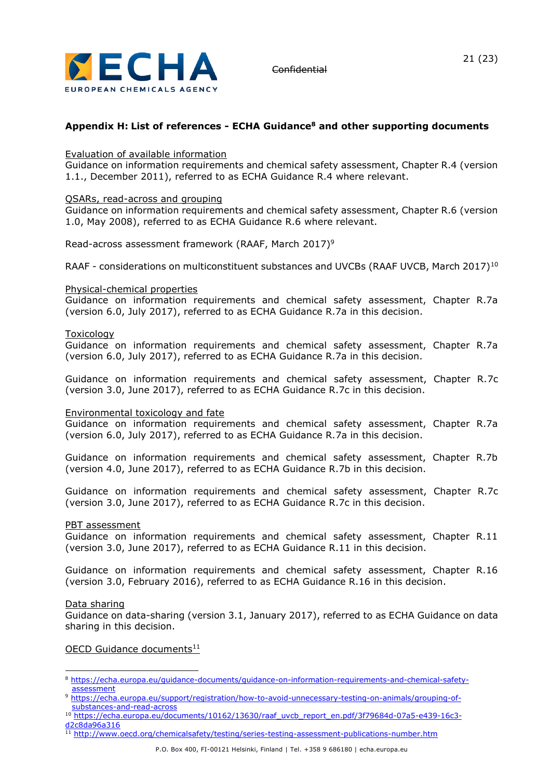

### **Appendix H: List of references - ECHA Guidance<sup>8</sup> and other supporting documents**

#### Evaluation of available information

Guidance on information requirements and chemical safety assessment, Chapter R.4 (version 1.1., December 2011), referred to as ECHA Guidance R.4 where relevant.

#### QSARs, read-across and grouping

Guidance on information requirements and chemical safety assessment, Chapter R.6 (version 1.0, May 2008), referred to as ECHA Guidance R.6 where relevant.

Read-across assessment framework (RAAF, March 2017)<sup>9</sup>

RAAF - considerations on multiconstituent substances and UVCBs (RAAF UVCB, March 2017)<sup>10</sup>

#### Physical-chemical properties

Guidance on information requirements and chemical safety assessment, Chapter R.7a (version 6.0, July 2017), referred to as ECHA Guidance R.7a in this decision.

#### Toxicology

Guidance on information requirements and chemical safety assessment, Chapter R.7a (version 6.0, July 2017), referred to as ECHA Guidance R.7a in this decision.

Guidance on information requirements and chemical safety assessment, Chapter R.7c (version 3.0, June 2017), referred to as ECHA Guidance R.7c in this decision.

#### Environmental toxicology and fate

Guidance on information requirements and chemical safety assessment, Chapter R.7a (version 6.0, July 2017), referred to as ECHA Guidance R.7a in this decision.

Guidance on information requirements and chemical safety assessment, Chapter R.7b (version 4.0, June 2017), referred to as ECHA Guidance R.7b in this decision.

Guidance on information requirements and chemical safety assessment, Chapter R.7c (version 3.0, June 2017), referred to as ECHA Guidance R.7c in this decision.

#### PBT assessment

Guidance on information requirements and chemical safety assessment, Chapter R.11 (version 3.0, June 2017), referred to as ECHA Guidance R.11 in this decision.

Guidance on information requirements and chemical safety assessment, Chapter R.16 (version 3.0, February 2016), referred to as ECHA Guidance R.16 in this decision.

#### Data sharing

Guidance on data-sharing (version 3.1, January 2017), referred to as ECHA Guidance on data sharing in this decision.

#### OECD Guidance documents<sup>11</sup>

11 <http://www.oecd.org/chemicalsafety/testing/series-testing-assessment-publications-number.htm>

<sup>8</sup> https://echa.europa.eu/quidance-documents/guidance-on-information-requirements-and-chemical-safety[assessment](https://echa.europa.eu/guidance-documents/guidance-on-information-requirements-and-chemical-safety-assessment)

<sup>9</sup> [https://echa.europa.eu/support/registration/how-to-avoid-unnecessary-testing-on-animals/grouping-of](https://echa.europa.eu/support/registration/how-to-avoid-unnecessary-testing-on-animals/grouping-of-substances-and-read-across)[substances-and-read-across](https://echa.europa.eu/support/registration/how-to-avoid-unnecessary-testing-on-animals/grouping-of-substances-and-read-across)

<sup>&</sup>lt;sup>10</sup> [https://echa.europa.eu/documents/10162/13630/raaf\\_uvcb\\_report\\_en.pdf/3f79684d-07a5-e439-16c3](https://echa.europa.eu/documents/10162/13630/raaf_uvcb_report_en.pdf/3f79684d-07a5-e439-16c3-d2c8da96a316) [d2c8da96a316](https://echa.europa.eu/documents/10162/13630/raaf_uvcb_report_en.pdf/3f79684d-07a5-e439-16c3-d2c8da96a316)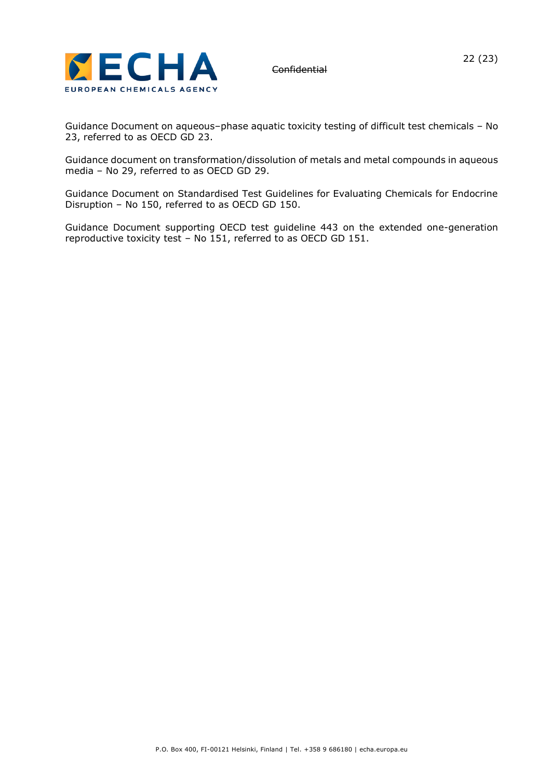

Guidance Document on aqueous–phase aquatic toxicity testing of difficult test chemicals – No 23, referred to as OECD GD 23.

Guidance document on transformation/dissolution of metals and metal compounds in aqueous media – No 29, referred to as OECD GD 29.

Guidance Document on Standardised Test Guidelines for Evaluating Chemicals for Endocrine Disruption – No 150, referred to as OECD GD 150.

Guidance Document supporting OECD test guideline 443 on the extended one-generation reproductive toxicity test – No 151, referred to as OECD GD 151.